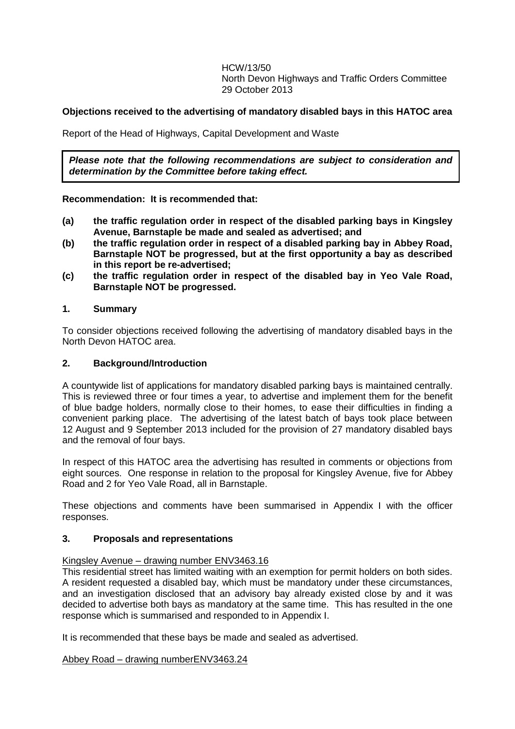HCW/13/50 North Devon Highways and Traffic Orders Committee 29 October 2013

### **Objections received to the advertising of mandatory disabled bays in this HATOC area**

Report of the Head of Highways, Capital Development and Waste

*Please note that the following recommendations are subject to consideration and determination by the Committee before taking effect.*

### **Recommendation: It is recommended that:**

- **(a) the traffic regulation order in respect of the disabled parking bays in Kingsley Avenue, Barnstaple be made and sealed as advertised; and**
- **(b) the traffic regulation order in respect of a disabled parking bay in Abbey Road, Barnstaple NOT be progressed, but at the first opportunity a bay as described in this report be re-advertised;**
- **(c) the traffic regulation order in respect of the disabled bay in Yeo Vale Road, Barnstaple NOT be progressed.**

### **1. Summary**

To consider objections received following the advertising of mandatory disabled bays in the North Devon HATOC area.

### **2. Background/Introduction**

A countywide list of applications for mandatory disabled parking bays is maintained centrally. This is reviewed three or four times a year, to advertise and implement them for the benefit of blue badge holders, normally close to their homes, to ease their difficulties in finding a convenient parking place. The advertising of the latest batch of bays took place between 12 August and 9 September 2013 included for the provision of 27 mandatory disabled bays and the removal of four bays.

In respect of this HATOC area the advertising has resulted in comments or objections from eight sources. One response in relation to the proposal for Kingsley Avenue, five for Abbey Road and 2 for Yeo Vale Road, all in Barnstaple.

These objections and comments have been summarised in Appendix I with the officer responses.

#### **3. Proposals and representations**

#### Kingsley Avenue – drawing number ENV3463.16

This residential street has limited waiting with an exemption for permit holders on both sides. A resident requested a disabled bay, which must be mandatory under these circumstances, and an investigation disclosed that an advisory bay already existed close by and it was decided to advertise both bays as mandatory at the same time. This has resulted in the one response which is summarised and responded to in Appendix I.

It is recommended that these bays be made and sealed as advertised.

Abbey Road – drawing numberENV3463.24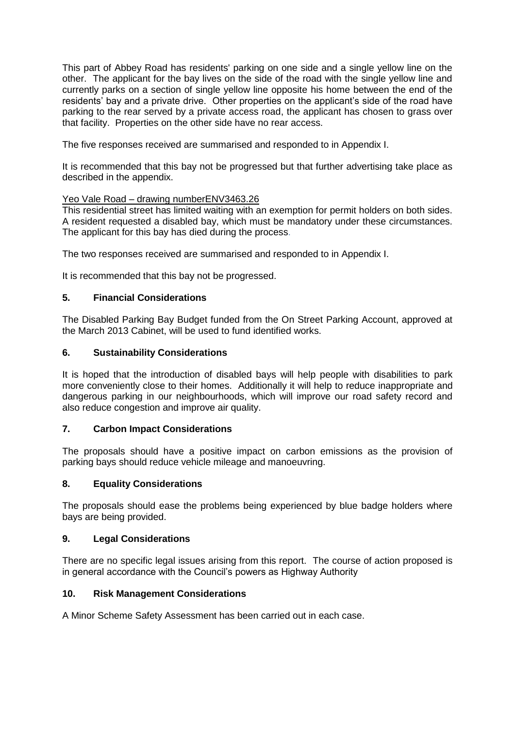This part of Abbey Road has residents' parking on one side and a single yellow line on the other. The applicant for the bay lives on the side of the road with the single yellow line and currently parks on a section of single yellow line opposite his home between the end of the residents' bay and a private drive. Other properties on the applicant's side of the road have parking to the rear served by a private access road, the applicant has chosen to grass over that facility. Properties on the other side have no rear access.

The five responses received are summarised and responded to in Appendix I.

It is recommended that this bay not be progressed but that further advertising take place as described in the appendix.

# Yeo Vale Road - drawing numberENV3463.26

This residential street has limited waiting with an exemption for permit holders on both sides. A resident requested a disabled bay, which must be mandatory under these circumstances. The applicant for this bay has died during the process.

The two responses received are summarised and responded to in Appendix I.

It is recommended that this bay not be progressed.

# **5. Financial Considerations**

The Disabled Parking Bay Budget funded from the On Street Parking Account, approved at the March 2013 Cabinet, will be used to fund identified works.

# **6. Sustainability Considerations**

It is hoped that the introduction of disabled bays will help people with disabilities to park more conveniently close to their homes. Additionally it will help to reduce inappropriate and dangerous parking in our neighbourhoods, which will improve our road safety record and also reduce congestion and improve air quality.

### **7. Carbon Impact Considerations**

The proposals should have a positive impact on carbon emissions as the provision of parking bays should reduce vehicle mileage and manoeuvring.

# **8. Equality Considerations**

The proposals should ease the problems being experienced by blue badge holders where bays are being provided.

### **9. Legal Considerations**

There are no specific legal issues arising from this report. The course of action proposed is in general accordance with the Council's powers as Highway Authority

### **10. Risk Management Considerations**

A Minor Scheme Safety Assessment has been carried out in each case.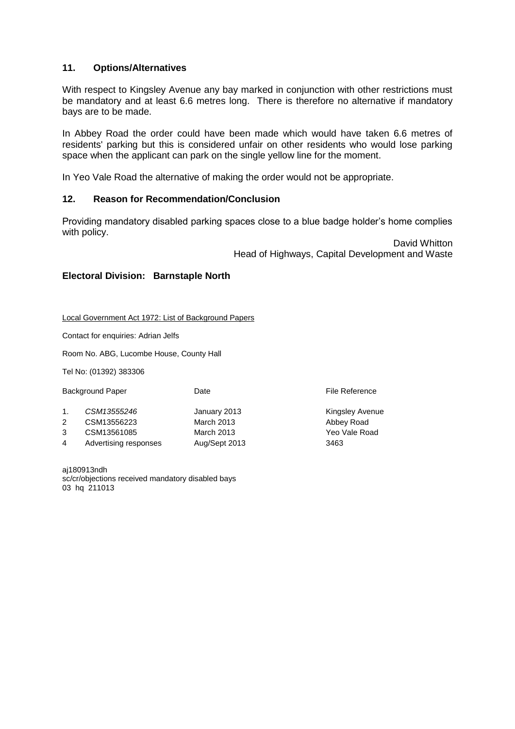### **11. Options/Alternatives**

With respect to Kingsley Avenue any bay marked in conjunction with other restrictions must be mandatory and at least 6.6 metres long. There is therefore no alternative if mandatory bays are to be made.

In Abbey Road the order could have been made which would have taken 6.6 metres of residents' parking but this is considered unfair on other residents who would lose parking space when the applicant can park on the single yellow line for the moment.

In Yeo Vale Road the alternative of making the order would not be appropriate.

# **12. Reason for Recommendation/Conclusion**

Providing mandatory disabled parking spaces close to a blue badge holder's home complies with policy.

> David Whitton Head of Highways, Capital Development and Waste

### **Electoral Division: Barnstaple North**

Local Government Act 1972: List of Background Papers

Contact for enquiries: Adrian Jelfs

Room No. ABG, Lucombe House, County Hall

Tel No: (01392) 383306

|                | <b>Background Paper</b> | Date              | File Reference         |
|----------------|-------------------------|-------------------|------------------------|
| $\mathbf{1}$ . | CSM13555246             | January 2013      | <b>Kingsley Avenue</b> |
| 2              | CSM13556223             | <b>March 2013</b> | Abbey Road             |
| 3              | CSM13561085             | March 2013        | Yeo Vale Road          |
| 4              | Advertising responses   | Aug/Sept 2013     | 3463                   |
|                |                         |                   |                        |

aj180913ndh sc/cr/objections received mandatory disabled bays 03 hq 211013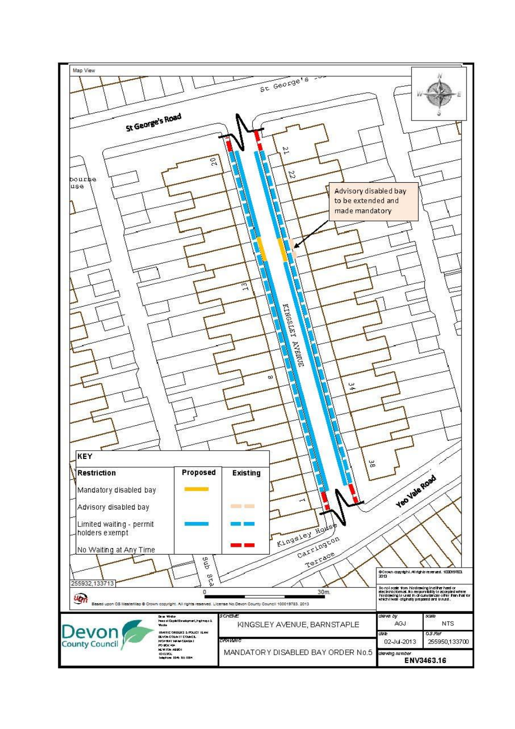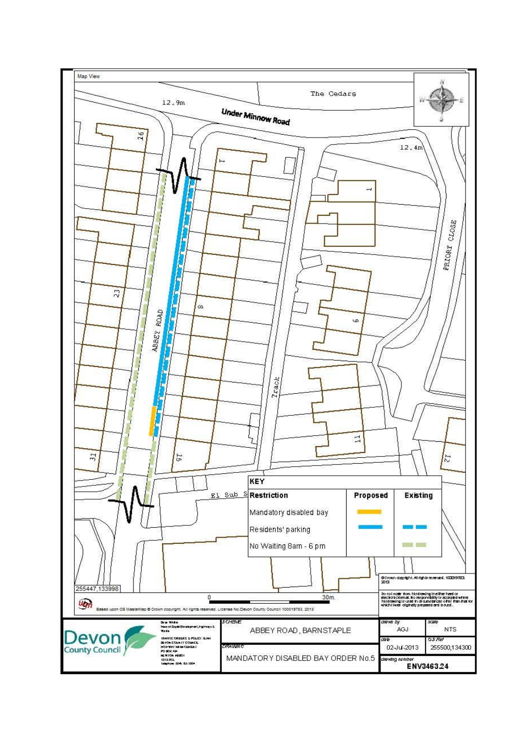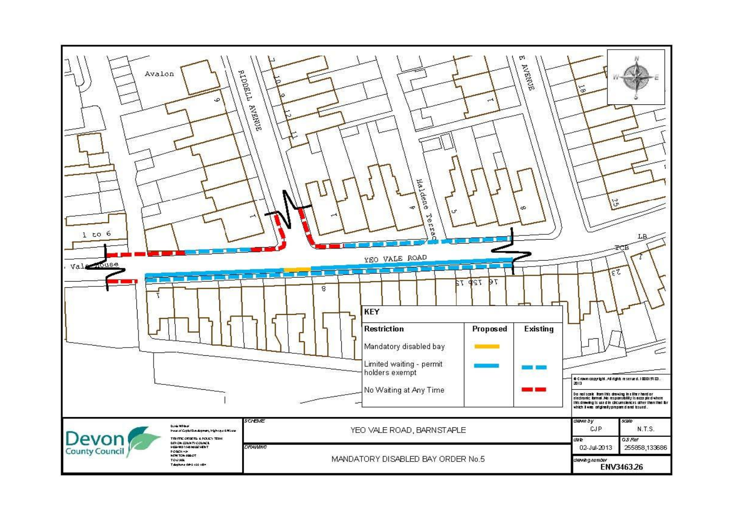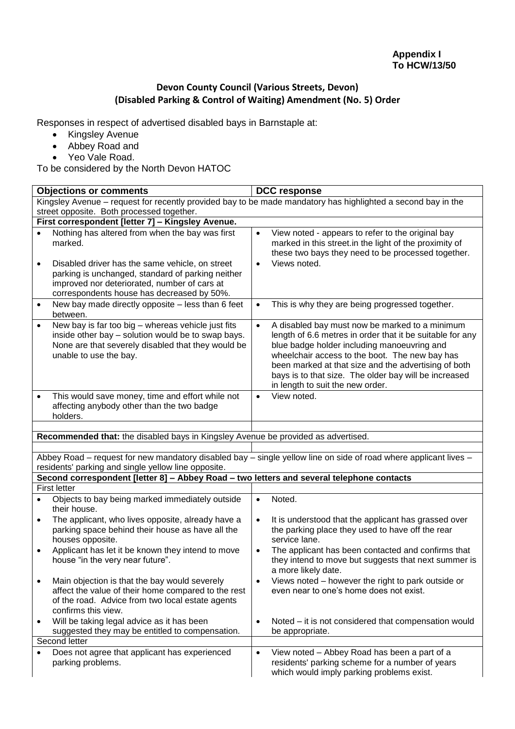# **Devon County Council (Various Streets, Devon) (Disabled Parking & Control of Waiting) Amendment (No. 5) Order**

Responses in respect of advertised disabled bays in Barnstaple at:

- Kingsley Avenue
- Abbey Road and
- Yeo Vale Road.

To be considered by the North Devon HATOC

| <b>Objections or comments</b>                                                                                                                                                                         | <b>DCC response</b>                                                                                                                                                                                                                                                                                                                                                            |  |
|-------------------------------------------------------------------------------------------------------------------------------------------------------------------------------------------------------|--------------------------------------------------------------------------------------------------------------------------------------------------------------------------------------------------------------------------------------------------------------------------------------------------------------------------------------------------------------------------------|--|
|                                                                                                                                                                                                       | Kingsley Avenue - request for recently provided bay to be made mandatory has highlighted a second bay in the                                                                                                                                                                                                                                                                   |  |
| street opposite. Both processed together.                                                                                                                                                             |                                                                                                                                                                                                                                                                                                                                                                                |  |
| First correspondent [letter 7] - Kingsley Avenue.                                                                                                                                                     |                                                                                                                                                                                                                                                                                                                                                                                |  |
| Nothing has altered from when the bay was first<br>marked.<br>Disabled driver has the same vehicle, on street<br>$\bullet$                                                                            | View noted - appears to refer to the original bay<br>$\bullet$<br>marked in this street.in the light of the proximity of<br>these two bays they need to be processed together.<br>Views noted.<br>$\bullet$                                                                                                                                                                    |  |
| parking is unchanged, standard of parking neither<br>improved nor deteriorated, number of cars at<br>correspondents house has decreased by 50%.                                                       |                                                                                                                                                                                                                                                                                                                                                                                |  |
| New bay made directly opposite - less than 6 feet<br>$\bullet$<br>between.                                                                                                                            | This is why they are being progressed together.<br>$\bullet$                                                                                                                                                                                                                                                                                                                   |  |
| New bay is far too big - whereas vehicle just fits<br>$\bullet$<br>inside other bay - solution would be to swap bays.<br>None are that severely disabled that they would be<br>unable to use the bay. | A disabled bay must now be marked to a minimum<br>$\bullet$<br>length of 6.6 metres in order that it be suitable for any<br>blue badge holder including manoeuvring and<br>wheelchair access to the boot. The new bay has<br>been marked at that size and the advertising of both<br>bays is to that size. The older bay will be increased<br>in length to suit the new order. |  |
| This would save money, time and effort while not<br>$\bullet$<br>affecting anybody other than the two badge<br>holders.                                                                               | View noted.<br>$\bullet$                                                                                                                                                                                                                                                                                                                                                       |  |
| Recommended that: the disabled bays in Kingsley Avenue be provided as advertised.                                                                                                                     |                                                                                                                                                                                                                                                                                                                                                                                |  |
|                                                                                                                                                                                                       |                                                                                                                                                                                                                                                                                                                                                                                |  |
| residents' parking and single yellow line opposite.                                                                                                                                                   | Abbey Road – request for new mandatory disabled bay – single yellow line on side of road where applicant lives –                                                                                                                                                                                                                                                               |  |
| Second correspondent [letter 8] - Abbey Road - two letters and several telephone contacts                                                                                                             |                                                                                                                                                                                                                                                                                                                                                                                |  |
| <b>First letter</b>                                                                                                                                                                                   |                                                                                                                                                                                                                                                                                                                                                                                |  |
| Objects to bay being marked immediately outside<br>$\bullet$<br>their house.                                                                                                                          | Noted.<br>$\bullet$                                                                                                                                                                                                                                                                                                                                                            |  |
| The applicant, who lives opposite, already have a<br>$\bullet$<br>parking space behind their house as have all the<br>houses opposite.                                                                | It is understood that the applicant has grassed over<br>$\bullet$<br>the parking place they used to have off the rear<br>service lane.                                                                                                                                                                                                                                         |  |
| Applicant has let it be known they intend to move<br>$\bullet$<br>house "in the very near future".                                                                                                    | The applicant has been contacted and confirms that<br>$\bullet$<br>they intend to move but suggests that next summer is<br>a more likely date.                                                                                                                                                                                                                                 |  |
| Main objection is that the bay would severely<br>$\bullet$<br>affect the value of their home compared to the rest<br>of the road. Advice from two local estate agents<br>confirms this view.          | Views noted - however the right to park outside or<br>$\bullet$<br>even near to one's home does not exist.                                                                                                                                                                                                                                                                     |  |
| Will be taking legal advice as it has been<br>٠<br>suggested they may be entitled to compensation.                                                                                                    | Noted – it is not considered that compensation would<br>$\bullet$<br>be appropriate.                                                                                                                                                                                                                                                                                           |  |
| Second letter                                                                                                                                                                                         |                                                                                                                                                                                                                                                                                                                                                                                |  |
| Does not agree that applicant has experienced<br>$\bullet$<br>parking problems.                                                                                                                       | View noted - Abbey Road has been a part of a<br>$\bullet$<br>residents' parking scheme for a number of years<br>which would imply parking problems exist.                                                                                                                                                                                                                      |  |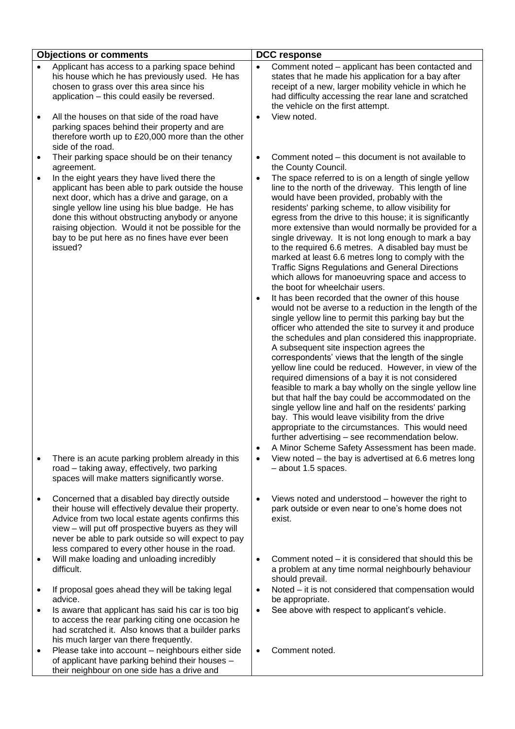|                | <b>Objections or comments</b>                                                                                                                                                                                                                                                                                                                                                                                            |                                     | <b>DCC response</b>                                                                                                                                                                                                                                                                                                                                                                                                                                                                                                                                                                                                                                                                                                                                                                                                                                                                                                                                                                                                                                                                                                                                                                                                                                                                                                                                                                                                                                                                                                                                                                                                                               |  |  |
|----------------|--------------------------------------------------------------------------------------------------------------------------------------------------------------------------------------------------------------------------------------------------------------------------------------------------------------------------------------------------------------------------------------------------------------------------|-------------------------------------|---------------------------------------------------------------------------------------------------------------------------------------------------------------------------------------------------------------------------------------------------------------------------------------------------------------------------------------------------------------------------------------------------------------------------------------------------------------------------------------------------------------------------------------------------------------------------------------------------------------------------------------------------------------------------------------------------------------------------------------------------------------------------------------------------------------------------------------------------------------------------------------------------------------------------------------------------------------------------------------------------------------------------------------------------------------------------------------------------------------------------------------------------------------------------------------------------------------------------------------------------------------------------------------------------------------------------------------------------------------------------------------------------------------------------------------------------------------------------------------------------------------------------------------------------------------------------------------------------------------------------------------------------|--|--|
| $\bullet$<br>٠ | Applicant has access to a parking space behind<br>his house which he has previously used. He has<br>chosen to grass over this area since his<br>application - this could easily be reversed.<br>All the houses on that side of the road have<br>parking spaces behind their property and are<br>therefore worth up to £20,000 more than the other<br>side of the road.<br>Their parking space should be on their tenancy | $\bullet$<br>$\bullet$<br>$\bullet$ | Comment noted - applicant has been contacted and<br>states that he made his application for a bay after<br>receipt of a new, larger mobility vehicle in which he<br>had difficulty accessing the rear lane and scratched<br>the vehicle on the first attempt.<br>View noted.<br>Comment noted - this document is not available to                                                                                                                                                                                                                                                                                                                                                                                                                                                                                                                                                                                                                                                                                                                                                                                                                                                                                                                                                                                                                                                                                                                                                                                                                                                                                                                 |  |  |
|                | agreement.<br>In the eight years they have lived there the<br>applicant has been able to park outside the house<br>next door, which has a drive and garage, on a<br>single yellow line using his blue badge. He has<br>done this without obstructing anybody or anyone<br>raising objection. Would it not be possible for the<br>bay to be put here as no fines have ever been<br>issued?                                | $\bullet$<br>$\bullet$<br>$\bullet$ | the County Council.<br>The space referred to is on a length of single yellow<br>line to the north of the driveway. This length of line<br>would have been provided, probably with the<br>residents' parking scheme, to allow visibility for<br>egress from the drive to this house; it is significantly<br>more extensive than would normally be provided for a<br>single driveway. It is not long enough to mark a bay<br>to the required 6.6 metres. A disabled bay must be<br>marked at least 6.6 metres long to comply with the<br><b>Traffic Signs Regulations and General Directions</b><br>which allows for manoeuvring space and access to<br>the boot for wheelchair users.<br>It has been recorded that the owner of this house<br>would not be averse to a reduction in the length of the<br>single yellow line to permit this parking bay but the<br>officer who attended the site to survey it and produce<br>the schedules and plan considered this inappropriate.<br>A subsequent site inspection agrees the<br>correspondents' views that the length of the single<br>yellow line could be reduced. However, in view of the<br>required dimensions of a bay it is not considered<br>feasible to mark a bay wholly on the single yellow line<br>but that half the bay could be accommodated on the<br>single yellow line and half on the residents' parking<br>bay. This would leave visibility from the drive<br>appropriate to the circumstances. This would need<br>further advertising - see recommendation below.<br>A Minor Scheme Safety Assessment has been made.<br>View noted – the bay is advertised at 6.6 metres long |  |  |
|                | There is an acute parking problem already in this<br>road - taking away, effectively, two parking<br>spaces will make matters significantly worse.                                                                                                                                                                                                                                                                       |                                     | - about 1.5 spaces.                                                                                                                                                                                                                                                                                                                                                                                                                                                                                                                                                                                                                                                                                                                                                                                                                                                                                                                                                                                                                                                                                                                                                                                                                                                                                                                                                                                                                                                                                                                                                                                                                               |  |  |
|                | Concerned that a disabled bay directly outside<br>their house will effectively devalue their property.<br>Advice from two local estate agents confirms this<br>view - will put off prospective buyers as they will<br>never be able to park outside so will expect to pay<br>less compared to every other house in the road.                                                                                             | $\bullet$                           | Views noted and understood - however the right to<br>park outside or even near to one's home does not<br>exist.                                                                                                                                                                                                                                                                                                                                                                                                                                                                                                                                                                                                                                                                                                                                                                                                                                                                                                                                                                                                                                                                                                                                                                                                                                                                                                                                                                                                                                                                                                                                   |  |  |
|                | Will make loading and unloading incredibly<br>difficult.                                                                                                                                                                                                                                                                                                                                                                 | $\bullet$                           | Comment noted – it is considered that should this be<br>a problem at any time normal neighbourly behaviour<br>should prevail.                                                                                                                                                                                                                                                                                                                                                                                                                                                                                                                                                                                                                                                                                                                                                                                                                                                                                                                                                                                                                                                                                                                                                                                                                                                                                                                                                                                                                                                                                                                     |  |  |
|                | If proposal goes ahead they will be taking legal<br>advice.                                                                                                                                                                                                                                                                                                                                                              | $\bullet$                           | Noted - it is not considered that compensation would<br>be appropriate.                                                                                                                                                                                                                                                                                                                                                                                                                                                                                                                                                                                                                                                                                                                                                                                                                                                                                                                                                                                                                                                                                                                                                                                                                                                                                                                                                                                                                                                                                                                                                                           |  |  |
| $\bullet$      | Is aware that applicant has said his car is too big<br>to access the rear parking citing one occasion he<br>had scratched it. Also knows that a builder parks<br>his much larger van there frequently.                                                                                                                                                                                                                   | $\bullet$                           | See above with respect to applicant's vehicle.                                                                                                                                                                                                                                                                                                                                                                                                                                                                                                                                                                                                                                                                                                                                                                                                                                                                                                                                                                                                                                                                                                                                                                                                                                                                                                                                                                                                                                                                                                                                                                                                    |  |  |
| ٠              | Please take into account - neighbours either side<br>of applicant have parking behind their houses -<br>their neighbour on one side has a drive and                                                                                                                                                                                                                                                                      | $\bullet$                           | Comment noted.                                                                                                                                                                                                                                                                                                                                                                                                                                                                                                                                                                                                                                                                                                                                                                                                                                                                                                                                                                                                                                                                                                                                                                                                                                                                                                                                                                                                                                                                                                                                                                                                                                    |  |  |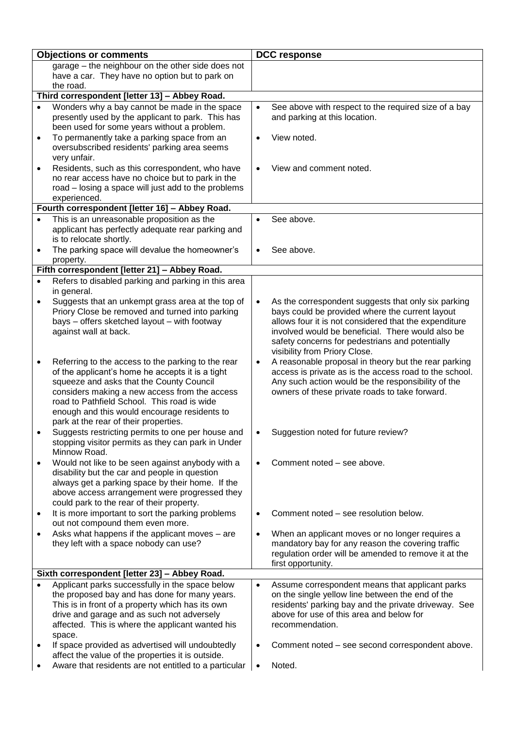| <b>Objections or comments</b> |                                                                                                                                                            | <b>DCC response</b> |                                                                                                          |
|-------------------------------|------------------------------------------------------------------------------------------------------------------------------------------------------------|---------------------|----------------------------------------------------------------------------------------------------------|
|                               | garage - the neighbour on the other side does not                                                                                                          |                     |                                                                                                          |
|                               | have a car. They have no option but to park on                                                                                                             |                     |                                                                                                          |
|                               | the road.                                                                                                                                                  |                     |                                                                                                          |
|                               | Third correspondent [letter 13] - Abbey Road.                                                                                                              |                     |                                                                                                          |
|                               | Wonders why a bay cannot be made in the space<br>presently used by the applicant to park. This has<br>been used for some years without a problem.          | $\bullet$           | See above with respect to the required size of a bay<br>and parking at this location.                    |
| $\bullet$                     | To permanently take a parking space from an<br>oversubscribed residents' parking area seems<br>very unfair.                                                | $\bullet$           | View noted.                                                                                              |
| $\bullet$                     | Residents, such as this correspondent, who have<br>no rear access have no choice but to park in the<br>road - losing a space will just add to the problems | $\bullet$           | View and comment noted.                                                                                  |
|                               | experienced.<br>Fourth correspondent [letter 16] - Abbey Road.                                                                                             |                     |                                                                                                          |
|                               | This is an unreasonable proposition as the                                                                                                                 | $\bullet$           | See above.                                                                                               |
|                               | applicant has perfectly adequate rear parking and<br>is to relocate shortly.                                                                               |                     |                                                                                                          |
|                               | The parking space will devalue the homeowner's<br>property.                                                                                                | $\bullet$           | See above.                                                                                               |
|                               | Fifth correspondent [letter 21] - Abbey Road.                                                                                                              |                     |                                                                                                          |
|                               | Refers to disabled parking and parking in this area                                                                                                        |                     |                                                                                                          |
|                               | in general.                                                                                                                                                |                     |                                                                                                          |
|                               | Suggests that an unkempt grass area at the top of<br>Priory Close be removed and turned into parking                                                       | $\bullet$           | As the correspondent suggests that only six parking<br>bays could be provided where the current layout   |
|                               | bays - offers sketched layout - with footway                                                                                                               |                     | allows four it is not considered that the expenditure                                                    |
|                               | against wall at back.                                                                                                                                      |                     | involved would be beneficial. There would also be                                                        |
|                               |                                                                                                                                                            |                     | safety concerns for pedestrians and potentially                                                          |
| ٠                             | Referring to the access to the parking to the rear                                                                                                         | $\bullet$           | visibility from Priory Close.<br>A reasonable proposal in theory but the rear parking                    |
|                               | of the applicant's home he accepts it is a tight                                                                                                           |                     | access is private as is the access road to the school.                                                   |
|                               | squeeze and asks that the County Council                                                                                                                   |                     | Any such action would be the responsibility of the                                                       |
|                               | considers making a new access from the access                                                                                                              |                     | owners of these private roads to take forward.                                                           |
|                               | road to Pathfield School. This road is wide                                                                                                                |                     |                                                                                                          |
|                               | enough and this would encourage residents to<br>park at the rear of their properties.                                                                      |                     |                                                                                                          |
|                               | Suggests restricting permits to one per house and                                                                                                          |                     | Suggestion noted for future review?                                                                      |
|                               | stopping visitor permits as they can park in Under<br>Minnow Road.                                                                                         |                     |                                                                                                          |
|                               | Would not like to be seen against anybody with a                                                                                                           | $\bullet$           | Comment noted – see above.                                                                               |
|                               | disability but the car and people in question<br>always get a parking space by their home. If the                                                          |                     |                                                                                                          |
|                               | above access arrangement were progressed they                                                                                                              |                     |                                                                                                          |
|                               | could park to the rear of their property.                                                                                                                  |                     |                                                                                                          |
| $\bullet$                     | It is more important to sort the parking problems                                                                                                          | $\bullet$           | Comment noted - see resolution below.                                                                    |
|                               | out not compound them even more.                                                                                                                           |                     |                                                                                                          |
| $\bullet$                     | Asks what happens if the applicant moves - are<br>they left with a space nobody can use?                                                                   | $\bullet$           | When an applicant moves or no longer requires a<br>mandatory bay for any reason the covering traffic     |
|                               |                                                                                                                                                            |                     | regulation order will be amended to remove it at the                                                     |
|                               |                                                                                                                                                            |                     | first opportunity.                                                                                       |
|                               | Sixth correspondent [letter 23] - Abbey Road.                                                                                                              |                     |                                                                                                          |
| $\bullet$                     | Applicant parks successfully in the space below                                                                                                            | $\bullet$           | Assume correspondent means that applicant parks                                                          |
|                               | the proposed bay and has done for many years.<br>This is in front of a property which has its own                                                          |                     | on the single yellow line between the end of the<br>residents' parking bay and the private driveway. See |
|                               | drive and garage and as such not adversely                                                                                                                 |                     | above for use of this area and below for                                                                 |
|                               | affected. This is where the applicant wanted his                                                                                                           |                     | recommendation.                                                                                          |
|                               | space.                                                                                                                                                     |                     |                                                                                                          |
|                               | If space provided as advertised will undoubtedly<br>affect the value of the properties it is outside.                                                      | $\bullet$           | Comment noted – see second correspondent above.                                                          |
|                               | Aware that residents are not entitled to a particular                                                                                                      | $\bullet$           | Noted.                                                                                                   |
|                               |                                                                                                                                                            |                     |                                                                                                          |